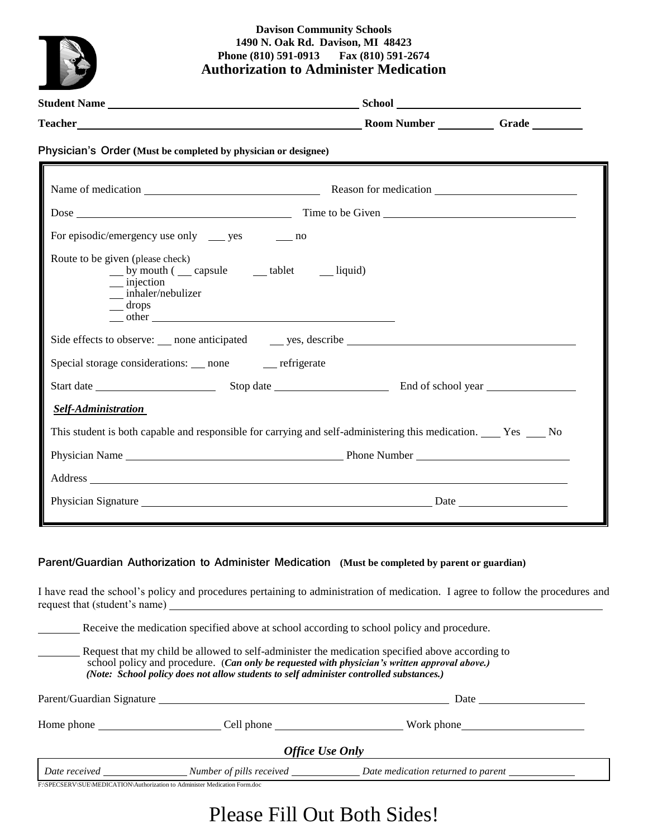

### **Davison Community Schools 1490 N. Oak Rd. Davison, MI 48423 Phone (810) 591-0913 Fax (810) 591-2674 Authorization to Administer Medication**

| Physician's Order (Must be completed by physician or designee)                                                                                                                                   |                                                                                                          |  |  |
|--------------------------------------------------------------------------------------------------------------------------------------------------------------------------------------------------|----------------------------------------------------------------------------------------------------------|--|--|
|                                                                                                                                                                                                  |                                                                                                          |  |  |
|                                                                                                                                                                                                  |                                                                                                          |  |  |
|                                                                                                                                                                                                  |                                                                                                          |  |  |
| For episodic/emergency use only _____ yes _______ no                                                                                                                                             |                                                                                                          |  |  |
| Route to be given (please check)<br>by mouth ( __ capsule __ tablet __ liquid)<br>$\equiv$ injection<br>__ inhaler/nebulizer<br>$\equiv$ drops<br>$\frac{1}{\sqrt{1-\frac{1}{2}}}\text{ other}.$ |                                                                                                          |  |  |
|                                                                                                                                                                                                  | Side effects to observe: __ none anticipated _____ yes, describe ___________________________________     |  |  |
| Special storage considerations: none refrigerate                                                                                                                                                 |                                                                                                          |  |  |
|                                                                                                                                                                                                  |                                                                                                          |  |  |
| <b>Self-Administration</b>                                                                                                                                                                       |                                                                                                          |  |  |
|                                                                                                                                                                                                  | This student is both capable and responsible for carrying and self-administering this medication. Yes No |  |  |
|                                                                                                                                                                                                  |                                                                                                          |  |  |
|                                                                                                                                                                                                  |                                                                                                          |  |  |
|                                                                                                                                                                                                  |                                                                                                          |  |  |

## **Parent/Guardian Authorization to Administer Medication (Must be completed by parent or guardian)**

I have read the school's policy and procedures pertaining to administration of medication. I agree to follow the procedures and request that (student's name)

Receive the medication specified above at school according to school policy and procedure.

 Request that my child be allowed to self-administer the medication specified above according to school policy and procedure. (*Can only be requested with physician's written approval above.) (Note: School policy does not allow students to self administer controlled substances.)*

| Parent/Guardian Signature |            | Date                                            |  |  |  |  |  |  |
|---------------------------|------------|-------------------------------------------------|--|--|--|--|--|--|
| Home phone                | Cell phone | Work phone                                      |  |  |  |  |  |  |
| <b>Office Use Only</b>    |            |                                                 |  |  |  |  |  |  |
| Date received             |            | Date medication returned to parent ____________ |  |  |  |  |  |  |

F:\SPECSERV\SUE\MEDICATION\Authorization to Administer Medication Form.doc

# Please Fill Out Both Sides!